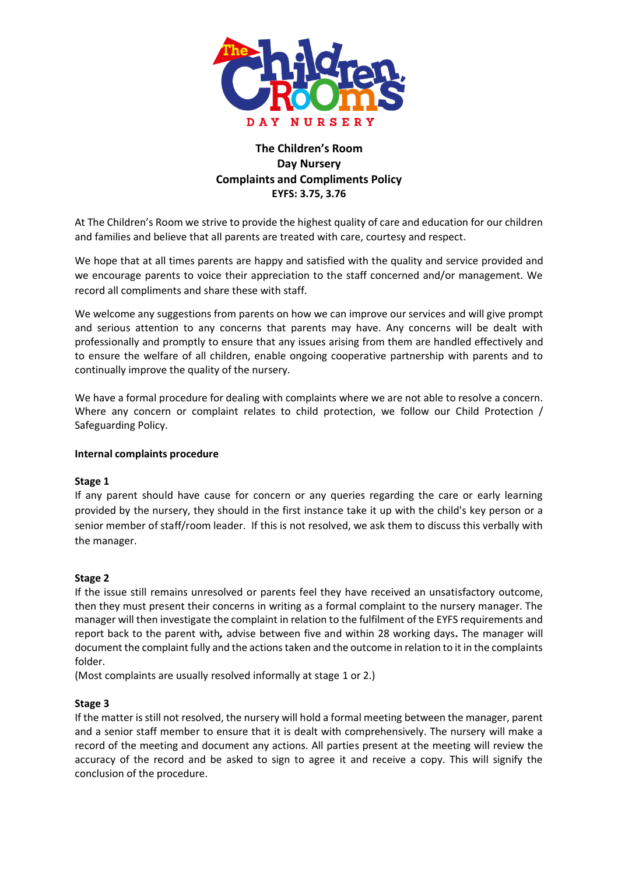

# **The Children's Room Day Nursery Complaints and Compliments Policy EYFS: 3.75, 3.76**

At The Children's Room we strive to provide the highest quality of care and education for our children and families and believe that all parents are treated with care, courtesy and respect.

We hope that at all times parents are happy and satisfied with the quality and service provided and we encourage parents to voice their appreciation to the staff concerned and/or management. We record all compliments and share these with staff.

We welcome any suggestions from parents on how we can improve our services and will give prompt and serious attention to any concerns that parents may have. Any concerns will be dealt with professionally and promptly to ensure that any issues arising from them are handled effectively and to ensure the welfare of all children, enable ongoing cooperative partnership with parents and to continually improve the quality of the nursery.

We have a formal procedure for dealing with complaints where we are not able to resolve a concern. Where any concern or complaint relates to child protection, we follow our Child Protection / Safeguarding Policy.

### **Internal complaints procedure**

### **Stage 1**

If any parent should have cause for concern or any queries regarding the care or early learning provided by the nursery, they should in the first instance take it up with the child's key person or a senior member of staff/room leader. If this is not resolved, we ask them to discuss this verbally with the manager.

### **Stage 2**

If the issue still remains unresolved or parents feel they have received an unsatisfactory outcome, then they must present their concerns in writing as a formal complaint to the nursery manager. The manager will then investigate the complaint in relation to the fulfilment of the EYFS requirements and report back to the parent with*,* advise between five and within 28 working days**.** The manager will document the complaint fully and the actions taken and the outcome in relation to it in the complaints folder.

(Most complaints are usually resolved informally at stage 1 or 2.)

## **Stage 3**

If the matter is still not resolved, the nursery will hold a formal meeting between the manager, parent and a senior staff member to ensure that it is dealt with comprehensively. The nursery will make a record of the meeting and document any actions. All parties present at the meeting will review the accuracy of the record and be asked to sign to agree it and receive a copy. This will signify the conclusion of the procedure.